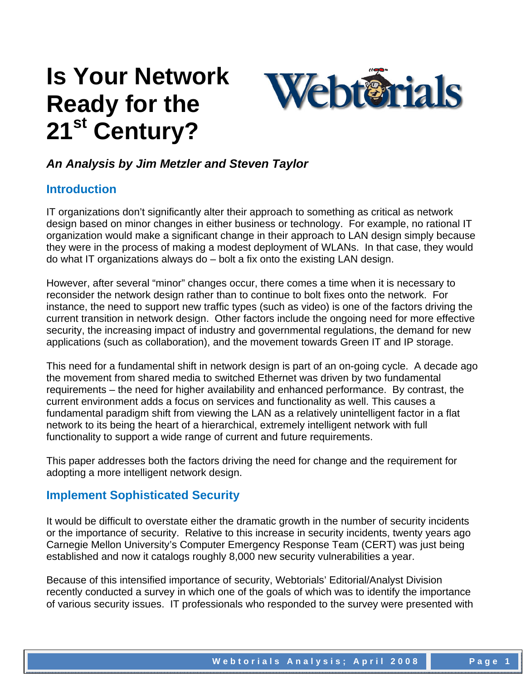# **Is Your Network Ready for the 21st Century?**



# *An Analysis by Jim Metzler and Steven Taylor*

#### **Introduction**

IT organizations don't significantly alter their approach to something as critical as network design based on minor changes in either business or technology. For example, no rational IT organization would make a significant change in their approach to LAN design simply because they were in the process of making a modest deployment of WLANs. In that case, they would do what IT organizations always do – bolt a fix onto the existing LAN design.

However, after several "minor" changes occur, there comes a time when it is necessary to reconsider the network design rather than to continue to bolt fixes onto the network. For instance, the need to support new traffic types (such as video) is one of the factors driving the current transition in network design. Other factors include the ongoing need for more effective security, the increasing impact of industry and governmental regulations, the demand for new applications (such as collaboration), and the movement towards Green IT and IP storage.

This need for a fundamental shift in network design is part of an on-going cycle. A decade ago the movement from shared media to switched Ethernet was driven by two fundamental requirements – the need for higher availability and enhanced performance. By contrast, the current environment adds a focus on services and functionality as well. This causes a fundamental paradigm shift from viewing the LAN as a relatively unintelligent factor in a flat network to its being the heart of a hierarchical, extremely intelligent network with full functionality to support a wide range of current and future requirements.

This paper addresses both the factors driving the need for change and the requirement for adopting a more intelligent network design.

### **Implement Sophisticated Security**

It would be difficult to overstate either the dramatic growth in the number of security incidents or the importance of security. Relative to this increase in security incidents, twenty years ago Carnegie Mellon University's Computer Emergency Response Team (CERT) was just being established and now it catalogs roughly 8,000 new security vulnerabilities a year.

Because of this intensified importance of security, Webtorials' Editorial/Analyst Division recently conducted a survey in which one of the goals of which was to identify the importance of various security issues. IT professionals who responded to the survey were presented with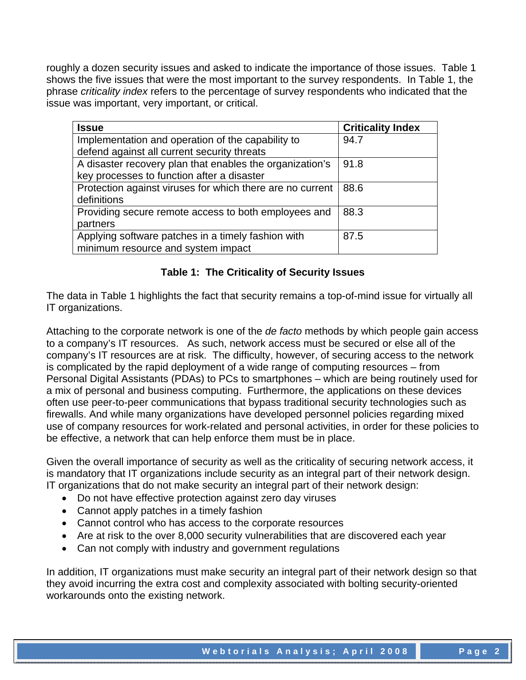roughly a dozen security issues and asked to indicate the importance of those issues. Table 1 shows the five issues that were the most important to the survey respondents. In Table 1, the phrase *criticality index* refers to the percentage of survey respondents who indicated that the issue was important, very important, or critical.

| <b>Issue</b>                                              | <b>Criticality Index</b> |
|-----------------------------------------------------------|--------------------------|
| Implementation and operation of the capability to         | 94.7                     |
| defend against all current security threats               |                          |
| A disaster recovery plan that enables the organization's  | 91.8                     |
| key processes to function after a disaster                |                          |
| Protection against viruses for which there are no current | 88.6                     |
| definitions                                               |                          |
| Providing secure remote access to both employees and      | 88.3                     |
| partners                                                  |                          |
| Applying software patches in a timely fashion with        | 87.5                     |
| minimum resource and system impact                        |                          |

#### **Table 1: The Criticality of Security Issues**

The data in Table 1 highlights the fact that security remains a top-of-mind issue for virtually all IT organizations.

Attaching to the corporate network is one of the *de facto* methods by which people gain access to a company's IT resources. As such, network access must be secured or else all of the company's IT resources are at risk. The difficulty, however, of securing access to the network is complicated by the rapid deployment of a wide range of computing resources – from Personal Digital Assistants (PDAs) to PCs to smartphones – which are being routinely used for a mix of personal and business computing. Furthermore, the applications on these devices often use peer-to-peer communications that bypass traditional security technologies such as firewalls. And while many organizations have developed personnel policies regarding mixed use of company resources for work-related and personal activities, in order for these policies to be effective, a network that can help enforce them must be in place.

Given the overall importance of security as well as the criticality of securing network access, it is mandatory that IT organizations include security as an integral part of their network design. IT organizations that do not make security an integral part of their network design:

- Do not have effective protection against zero day viruses
- Cannot apply patches in a timely fashion
- Cannot control who has access to the corporate resources
- Are at risk to the over 8,000 security vulnerabilities that are discovered each year
- Can not comply with industry and government regulations

In addition, IT organizations must make security an integral part of their network design so that they avoid incurring the extra cost and complexity associated with bolting security-oriented workarounds onto the existing network.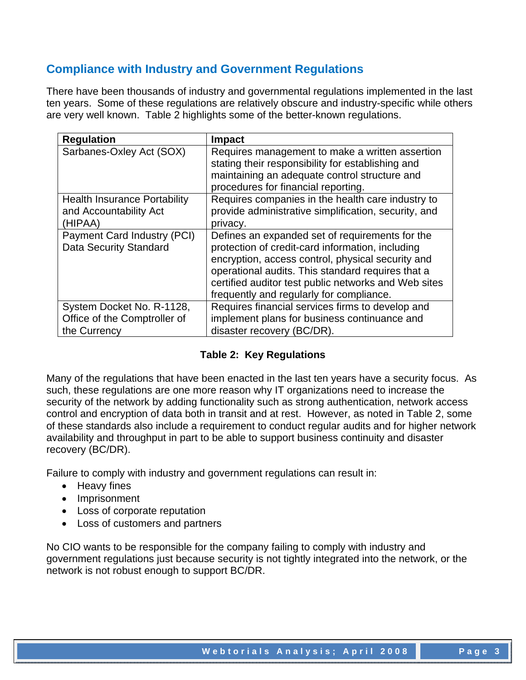# **Compliance with Industry and Government Regulations**

There have been thousands of industry and governmental regulations implemented in the last ten years. Some of these regulations are relatively obscure and industry-specific while others are very well known. Table 2 highlights some of the better-known regulations.

| <b>Regulation</b>                                                         | <b>Impact</b>                                                                                                                                                                                                                                                                                                     |
|---------------------------------------------------------------------------|-------------------------------------------------------------------------------------------------------------------------------------------------------------------------------------------------------------------------------------------------------------------------------------------------------------------|
| Sarbanes-Oxley Act (SOX)                                                  | Requires management to make a written assertion<br>stating their responsibility for establishing and<br>maintaining an adequate control structure and<br>procedures for financial reporting.                                                                                                                      |
| <b>Health Insurance Portability</b><br>and Accountability Act<br>(HIPAA)  | Requires companies in the health care industry to<br>provide administrative simplification, security, and<br>privacy.                                                                                                                                                                                             |
| Payment Card Industry (PCI)<br><b>Data Security Standard</b>              | Defines an expanded set of requirements for the<br>protection of credit-card information, including<br>encryption, access control, physical security and<br>operational audits. This standard requires that a<br>certified auditor test public networks and Web sites<br>frequently and regularly for compliance. |
| System Docket No. R-1128,<br>Office of the Comptroller of<br>the Currency | Requires financial services firms to develop and<br>implement plans for business continuance and<br>disaster recovery (BC/DR).                                                                                                                                                                                    |

#### **Table 2: Key Regulations**

Many of the regulations that have been enacted in the last ten years have a security focus. As such, these regulations are one more reason why IT organizations need to increase the security of the network by adding functionality such as strong authentication, network access control and encryption of data both in transit and at rest. However, as noted in Table 2, some of these standards also include a requirement to conduct regular audits and for higher network availability and throughput in part to be able to support business continuity and disaster recovery (BC/DR).

Failure to comply with industry and government regulations can result in:

- Heavy fines
- Imprisonment
- Loss of corporate reputation
- Loss of customers and partners

No CIO wants to be responsible for the company failing to comply with industry and government regulations just because security is not tightly integrated into the network, or the network is not robust enough to support BC/DR.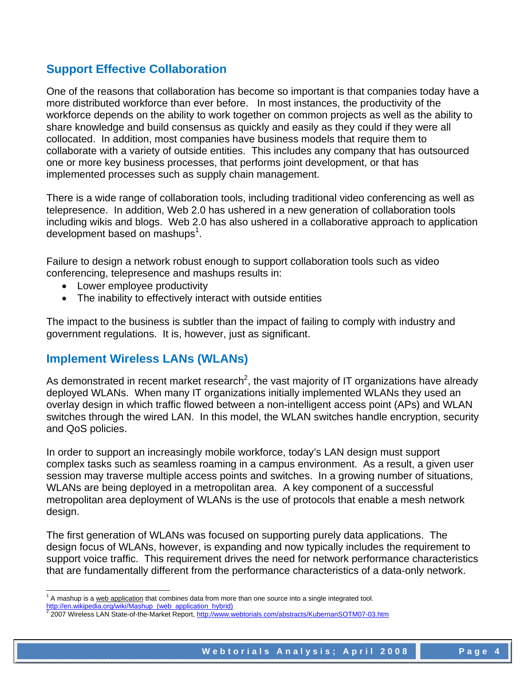# **Support Effective Collaboration**

One of the reasons that collaboration has become so important is that companies today have a more distributed workforce than ever before. In most instances, the productivity of the workforce depends on the ability to work together on common projects as well as the ability to share knowledge and build consensus as quickly and easily as they could if they were all collocated. In addition, most companies have business models that require them to collaborate with a variety of outside entities. This includes any company that has outsourced one or more key business processes, that performs joint development, or that has implemented processes such as supply chain management.

There is a wide range of collaboration tools, including traditional video conferencing as well as telepresence. In addition, Web 2.0 has ushered in a new generation of collaboration tools including wikis and blogs. Web 2.0 has also ushered in a collaborative approach to application development based on mashups $1$ .

Failure to design a network robust enough to support collaboration tools such as video conferencing, telepresence and mashups results in:

- Lower employee productivity
- The inability to effectively interact with outside entities

The impact to the business is subtler than the impact of failing to comply with industry and government regulations. It is, however, just as significant.

# **Implement Wireless LANs (WLANs)**

As demonstrated in recent market research<sup>2</sup>, the vast majority of IT organizations have already deployed WLANs. When many IT organizations initially implemented WLANs they used an overlay design in which traffic flowed between a non-intelligent access point (APs) and WLAN switches through the wired LAN. In this model, the WLAN switches handle encryption, security and QoS policies.

In order to support an increasingly mobile workforce, today's LAN design must support complex tasks such as seamless roaming in a campus environment. As a result, a given user session may traverse multiple access points and switches. In a growing number of situations, WLANs are being deployed in a metropolitan area. A key component of a successful metropolitan area deployment of WLANs is the use of protocols that enable a mesh network design.

The first generation of WLANs was focused on supporting purely data applications. The design focus of WLANs, however, is expanding and now typically includes the requirement to support voice traffic. This requirement drives the need for network performance characteristics that are fundamentally different from the performance characteristics of a data-only network.

l <sup>1</sup> A mashup is a web application that combines data from more than one source into a single integrated tool.

http://en.wikipedia.org/wiki/Mashup\_(web\_application\_hybrid)

<sup>&</sup>lt;sup>2</sup> 2007 Wireless LAN State-of-the-Market Report, http://www.webtorials.com/abstracts/KubernanSOTM07-03.htm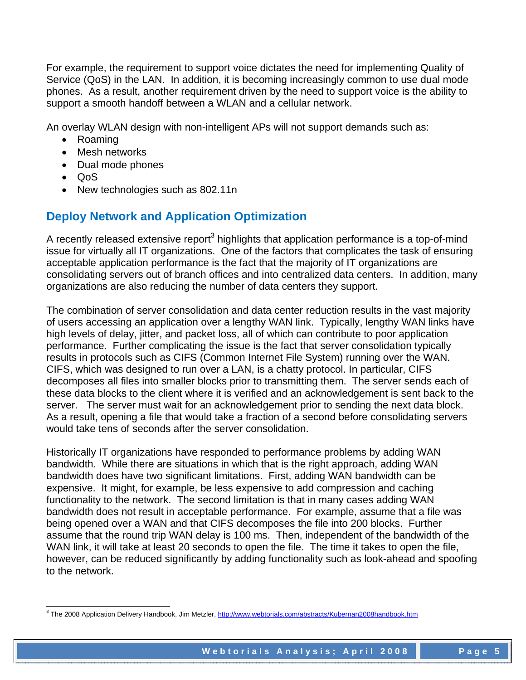For example, the requirement to support voice dictates the need for implementing Quality of Service (QoS) in the LAN. In addition, it is becoming increasingly common to use dual mode phones. As a result, another requirement driven by the need to support voice is the ability to support a smooth handoff between a WLAN and a cellular network.

An overlay WLAN design with non-intelligent APs will not support demands such as:

- Roaming
- Mesh networks
- Dual mode phones
- QoS
- New technologies such as 802.11n

# **Deploy Network and Application Optimization**

A recently released extensive report<sup>3</sup> highlights that application performance is a top-of-mind issue for virtually all IT organizations. One of the factors that complicates the task of ensuring acceptable application performance is the fact that the majority of IT organizations are consolidating servers out of branch offices and into centralized data centers. In addition, many organizations are also reducing the number of data centers they support.

The combination of server consolidation and data center reduction results in the vast majority of users accessing an application over a lengthy WAN link. Typically, lengthy WAN links have high levels of delay, jitter, and packet loss, all of which can contribute to poor application performance. Further complicating the issue is the fact that server consolidation typically results in protocols such as CIFS (Common Internet File System) running over the WAN. CIFS, which was designed to run over a LAN, is a chatty protocol. In particular, CIFS decomposes all files into smaller blocks prior to transmitting them. The server sends each of these data blocks to the client where it is verified and an acknowledgement is sent back to the server. The server must wait for an acknowledgement prior to sending the next data block. As a result, opening a file that would take a fraction of a second before consolidating servers would take tens of seconds after the server consolidation.

Historically IT organizations have responded to performance problems by adding WAN bandwidth. While there are situations in which that is the right approach, adding WAN bandwidth does have two significant limitations. First, adding WAN bandwidth can be expensive. It might, for example, be less expensive to add compression and caching functionality to the network. The second limitation is that in many cases adding WAN bandwidth does not result in acceptable performance. For example, assume that a file was being opened over a WAN and that CIFS decomposes the file into 200 blocks. Further assume that the round trip WAN delay is 100 ms. Then, independent of the bandwidth of the WAN link, it will take at least 20 seconds to open the file. The time it takes to open the file, however, can be reduced significantly by adding functionality such as look-ahead and spoofing to the network.

<sup>&</sup>lt;u>。</u><br>3 The 2008 Application Delivery Handbook, Jim Metzler, <u>http://www.webtorials.com/abstracts/Kubernan2008handbook.htm</u>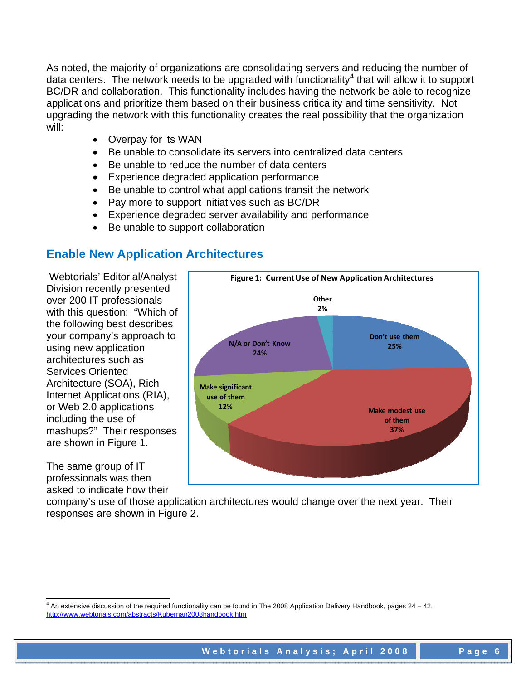As noted, the majority of organizations are consolidating servers and reducing the number of data centers. The network needs to be upgraded with functionality<sup>4</sup> that will allow it to support BC/DR and collaboration. This functionality includes having the network be able to recognize applications and prioritize them based on their business criticality and time sensitivity. Not upgrading the network with this functionality creates the real possibility that the organization will:

- Overpay for its WAN
- Be unable to consolidate its servers into centralized data centers
- Be unable to reduce the number of data centers
- Experience degraded application performance
- Be unable to control what applications transit the network
- Pay more to support initiatives such as BC/DR
- Experience degraded server availability and performance
- Be unable to support collaboration

# **Enable New Application Architectures**

 Webtorials' Editorial/Analyst Division recently presented over 200 IT professionals with this question: "Which of the following best describes your company's approach to using new application architectures such as Services Oriented Architecture (SOA), Rich Internet Applications (RIA), or Web 2.0 applications including the use of mashups?" Their responses are shown in Figure 1.

The same group of IT professionals was then asked to indicate how their



company's use of those application architectures would change over the next year. Their responses are shown in Figure 2.

l  $4$  An extensive discussion of the required functionality can be found in The 2008 Application Delivery Handbook, pages 24 – 42, http://www.webtorials.com/abstracts/Kubernan2008handbook.htm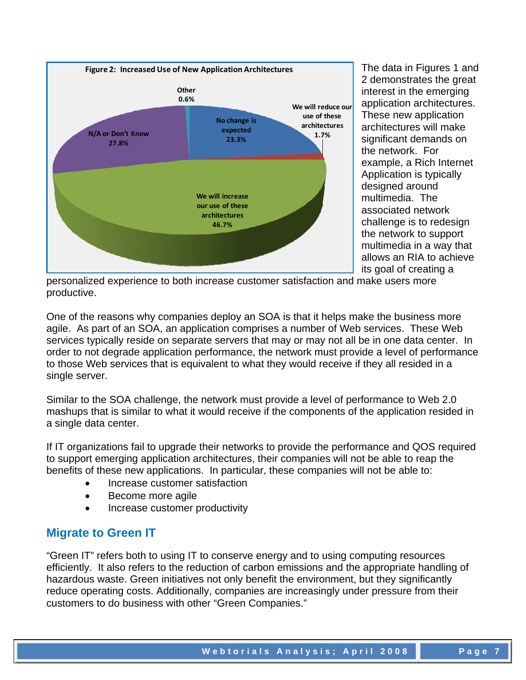

The data in Figures 1 and 2 demonstrates the great interest in the emerging application architectures. These new application architectures will make significant demands on the network. For example, a Rich Internet Application is typically designed around multimedia. The associated network challenge is to redesign the network to support multimedia in a way that allows an RIA to achieve its goal of creating a

personalized experience to both increase customer satisfaction and make users more productive.

One of the reasons why companies deploy an SOA is that it helps make the business more agile. As part of an SOA, an application comprises a number of Web services. These Web services typically reside on separate servers that may or may not all be in one data center. In order to not degrade application performance, the network must provide a level of performance to those Web services that is equivalent to what they would receive if they all resided in a single server.

Similar to the SOA challenge, the network must provide a level of performance to Web 2.0 mashups that is similar to what it would receive if the components of the application resided in a single data center.

If IT organizations fail to upgrade their networks to provide the performance and QOS required to support emerging application architectures, their companies will not be able to reap the benefits of these new applications. In particular, these companies will not be able to:

- Increase customer satisfaction
- Become more agile
- Increase customer productivity

### **Migrate to Green IT**

"Green IT" refers both to using IT to conserve energy and to using computing resources efficiently. It also refers to the reduction of carbon emissions and the appropriate handling of hazardous waste. Green initiatives not only benefit the environment, but they significantly reduce operating costs. Additionally, companies are increasingly under pressure from their customers to do business with other "Green Companies."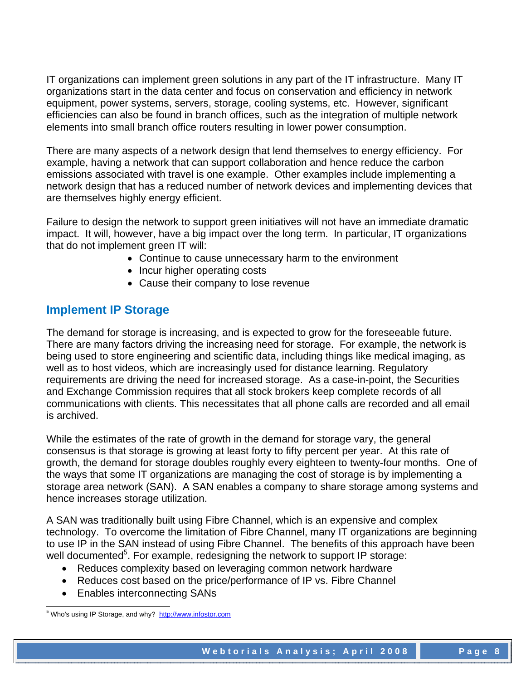IT organizations can implement green solutions in any part of the IT infrastructure. Many IT organizations start in the data center and focus on conservation and efficiency in network equipment, power systems, servers, storage, cooling systems, etc. However, significant efficiencies can also be found in branch offices, such as the integration of multiple network elements into small branch office routers resulting in lower power consumption.

There are many aspects of a network design that lend themselves to energy efficiency. For example, having a network that can support collaboration and hence reduce the carbon emissions associated with travel is one example. Other examples include implementing a network design that has a reduced number of network devices and implementing devices that are themselves highly energy efficient.

Failure to design the network to support green initiatives will not have an immediate dramatic impact. It will, however, have a big impact over the long term. In particular, IT organizations that do not implement green IT will:

- Continue to cause unnecessary harm to the environment
- Incur higher operating costs
- Cause their company to lose revenue

# **Implement IP Storage**

The demand for storage is increasing, and is expected to grow for the foreseeable future. There are many factors driving the increasing need for storage. For example, the network is being used to store engineering and scientific data, including things like medical imaging, as well as to host videos, which are increasingly used for distance learning. Regulatory requirements are driving the need for increased storage. As a case-in-point, the Securities and Exchange Commission requires that all stock brokers keep complete records of all communications with clients. This necessitates that all phone calls are recorded and all email is archived.

While the estimates of the rate of growth in the demand for storage vary, the general consensus is that storage is growing at least forty to fifty percent per year. At this rate of growth, the demand for storage doubles roughly every eighteen to twenty-four months. One of the ways that some IT organizations are managing the cost of storage is by implementing a storage area network (SAN). A SAN enables a company to share storage among systems and hence increases storage utilization.

A SAN was traditionally built using Fibre Channel, which is an expensive and complex technology. To overcome the limitation of Fibre Channel, many IT organizations are beginning to use IP in the SAN instead of using Fibre Channel. The benefits of this approach have been well documented<sup>5</sup>. For example, redesigning the network to support IP storage:

- Reduces complexity based on leveraging common network hardware
- Reduces cost based on the price/performance of IP vs. Fibre Channel
- Enables interconnecting SANs

l <sup>5</sup> Who's using IP Storage, and why? http://www.infostor.com